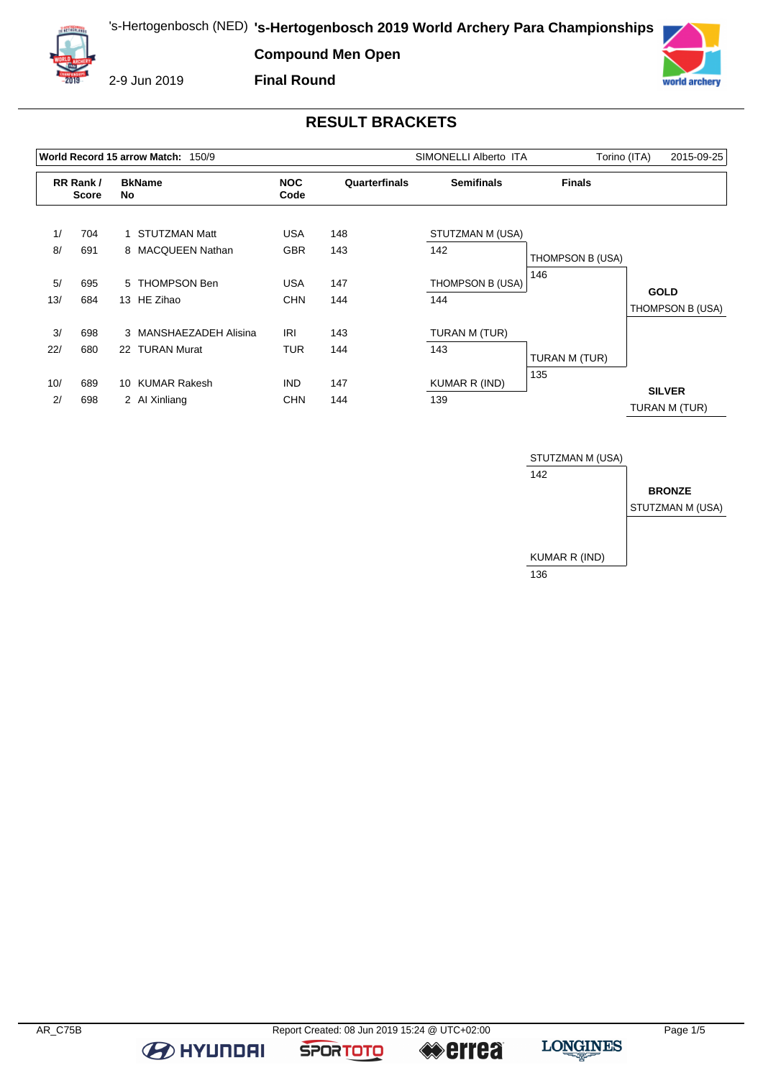

2-9 Jun 2019

**Final Round**



# **RESULT BRACKETS**

|                          |            |                     | World Record 15 arrow Match: 150/9   |                          |               | SIMONELLI Alberto ITA<br>Torino (ITA) |                  |                                 |  |
|--------------------------|------------|---------------------|--------------------------------------|--------------------------|---------------|---------------------------------------|------------------|---------------------------------|--|
| RR Rank/<br><b>Score</b> |            | <b>BkName</b><br>No |                                      | <b>NOC</b><br>Code       | Quarterfinals | <b>Semifinals</b>                     | <b>Finals</b>    |                                 |  |
| 1/                       | 704        |                     | STUTZMAN Matt                        | USA                      | 148           | STUTZMAN M (USA)                      |                  |                                 |  |
| 8/                       | 691        |                     | 8 MACQUEEN Nathan                    | <b>GBR</b>               | 143           | 142                                   | THOMPSON B (USA) |                                 |  |
| 5/<br>13/                | 695<br>684 |                     | 5 THOMPSON Ben<br>13 HE Zihao        | USA<br><b>CHN</b>        | 147<br>144    | THOMPSON B (USA)<br>144               | 146              | <b>GOLD</b><br>THOMPSON B (USA) |  |
| 3/                       | 698        |                     | 3 MANSHAEZADEH Alisina               | <b>IRI</b>               | 143           | TURAN M (TUR)                         |                  |                                 |  |
| 22/                      | 680        |                     | 22 TURAN Murat                       | TUR                      | 144           | 143                                   | TURAN M (TUR)    |                                 |  |
| 10/<br>2/                | 689<br>698 | 10                  | <b>KUMAR Rakesh</b><br>2 Al Xinliang | <b>IND</b><br><b>CHN</b> | 147<br>144    | KUMAR R (IND)<br>139                  | 135              | <b>SILVER</b><br>TURAN M (TUR)  |  |



**B** HYUNDAI

**SPORTOTO** 

**errea**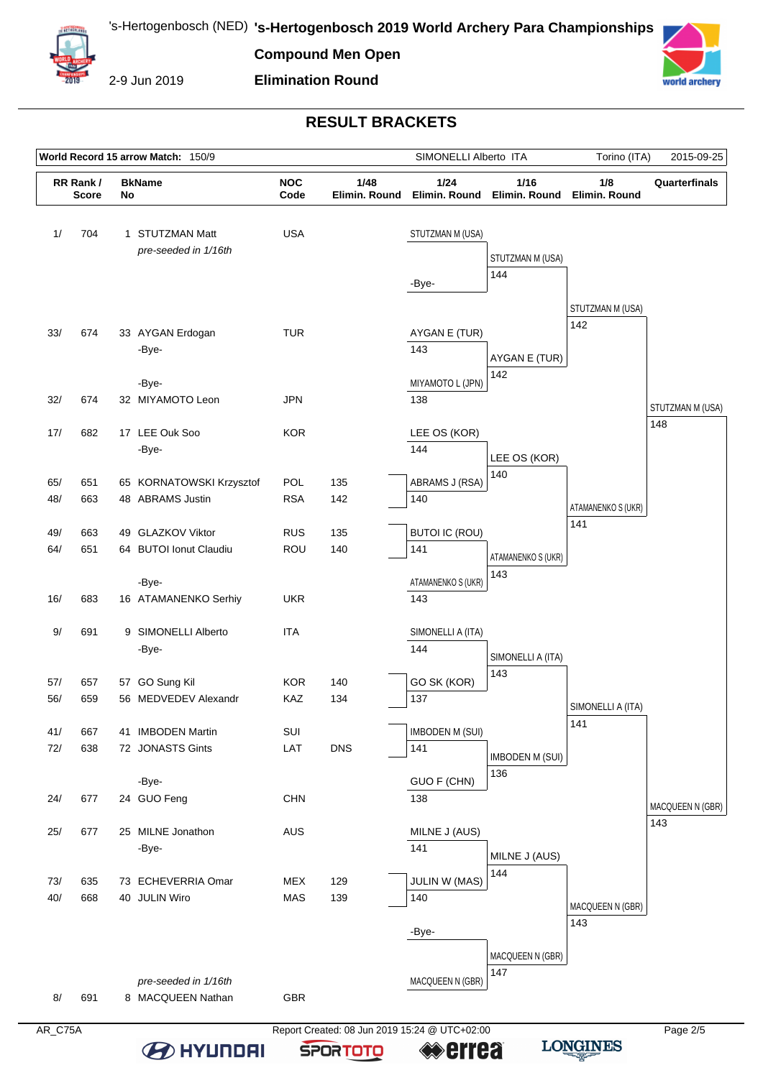**Elimination Round**



2-9 Jun 2019



## **RESULT BRACKETS**

|            |                                          |  | World Record 15 arrow Match: 150/9           |                          |                       | SIMONELLI Alberto ITA                |                                                   | Torino (ITA)             | 2015-09-25              |
|------------|------------------------------------------|--|----------------------------------------------|--------------------------|-----------------------|--------------------------------------|---------------------------------------------------|--------------------------|-------------------------|
|            | RR Rank/<br><b>BkName</b><br>No<br>Score |  |                                              | <b>NOC</b><br>Code       | 1/48<br>Elimin. Round | 1/24                                 | 1/16<br>Elimin. Round Elimin. Round Elimin. Round | 1/8                      | Quarterfinals           |
| 1/         | 704                                      |  | 1 STUTZMAN Matt<br>pre-seeded in 1/16th      | <b>USA</b>               |                       | STUTZMAN M (USA)<br>-Bye-            | STUTZMAN M (USA)<br>144                           |                          |                         |
| 33/        | 674                                      |  | 33 AYGAN Erdogan<br>-Bye-                    | <b>TUR</b>               |                       | AYGAN E (TUR)<br>143                 | AYGAN E (TUR)                                     | STUTZMAN M (USA)<br>142  |                         |
| 32/        | 674                                      |  | -Bye-<br>32 MIYAMOTO Leon                    | <b>JPN</b>               |                       | MIYAMOTO L (JPN)<br>138              | 142                                               |                          | STUTZMAN M (USA)        |
| 17/        | 682                                      |  | 17 LEE Ouk Soo<br>-Bye-                      | <b>KOR</b>               |                       | LEE OS (KOR)<br>144                  | LEE OS (KOR)                                      |                          | 148                     |
| 65/<br>48/ | 651<br>663                               |  | 65 KORNATOWSKI Krzysztof<br>48 ABRAMS Justin | POL<br><b>RSA</b>        | 135<br>142            | ABRAMS J (RSA)<br>140                | 140                                               | ATAMANENKO S (UKR)       |                         |
| 49/<br>64/ | 663<br>651                               |  | 49 GLAZKOV Viktor<br>64 BUTOI Ionut Claudiu  | <b>RUS</b><br>ROU        | 135<br>140            | <b>BUTOI IC (ROU)</b><br>141         | ATAMANENKO S (UKR)<br>143                         | 141                      |                         |
| 16/        | 683                                      |  | -Bye-<br>16 ATAMANENKO Serhiy                | <b>UKR</b>               |                       | ATAMANENKO S (UKR)<br>143            |                                                   |                          |                         |
| 9/         | 691                                      |  | 9 SIMONELLI Alberto<br>-Bye-                 | <b>ITA</b>               |                       | SIMONELLI A (ITA)<br>144             | SIMONELLI A (ITA)<br>143                          |                          |                         |
| 57/<br>56/ | 657<br>659                               |  | 57 GO Sung Kil<br>56 MEDVEDEV Alexandr       | <b>KOR</b><br>KAZ        | 140<br>134            | GO SK (KOR)<br>137                   |                                                   | SIMONELLI A (ITA)<br>141 |                         |
| 41/<br>72/ | 667<br>638                               |  | 41 IMBODEN Martin<br>72 JONASTS Gints        | SUI<br>LAT               | <b>DNS</b>            | <b>IMBODEN M (SUI)</b><br>141        | <b>IMBODEN M (SUI)</b><br>136                     |                          |                         |
| 24/        | 677                                      |  | -Bye-<br>24 GUO Feng                         | <b>CHN</b>               |                       | GUO F (CHN)<br>138                   |                                                   |                          | MACQUEEN N (GBR)<br>143 |
| 25/        | 677                                      |  | 25 MILNE Jonathon<br>-Bye-                   | <b>AUS</b>               |                       | MILNE J (AUS)<br>141                 | MILNE J (AUS)<br>144                              |                          |                         |
| 73/<br>40/ | 635<br>668                               |  | 73 ECHEVERRIA Omar<br>40 JULIN Wiro          | <b>MEX</b><br><b>MAS</b> | 129<br>139            | <b>JULIN W (MAS)</b><br>140<br>-Bye- |                                                   | MACQUEEN N (GBR)<br>143  |                         |
| 8/         | 691                                      |  | pre-seeded in 1/16th<br>8 MACQUEEN Nathan    | GBR                      |                       | MACQUEEN N (GBR)                     | MACQUEEN N (GBR)<br>147                           |                          |                         |

AR\_C75A Report Created: 08 Jun 2019 15:24 @ UTC+02:00 **B** HYUNDAI **errea** 

**SPORTOTO**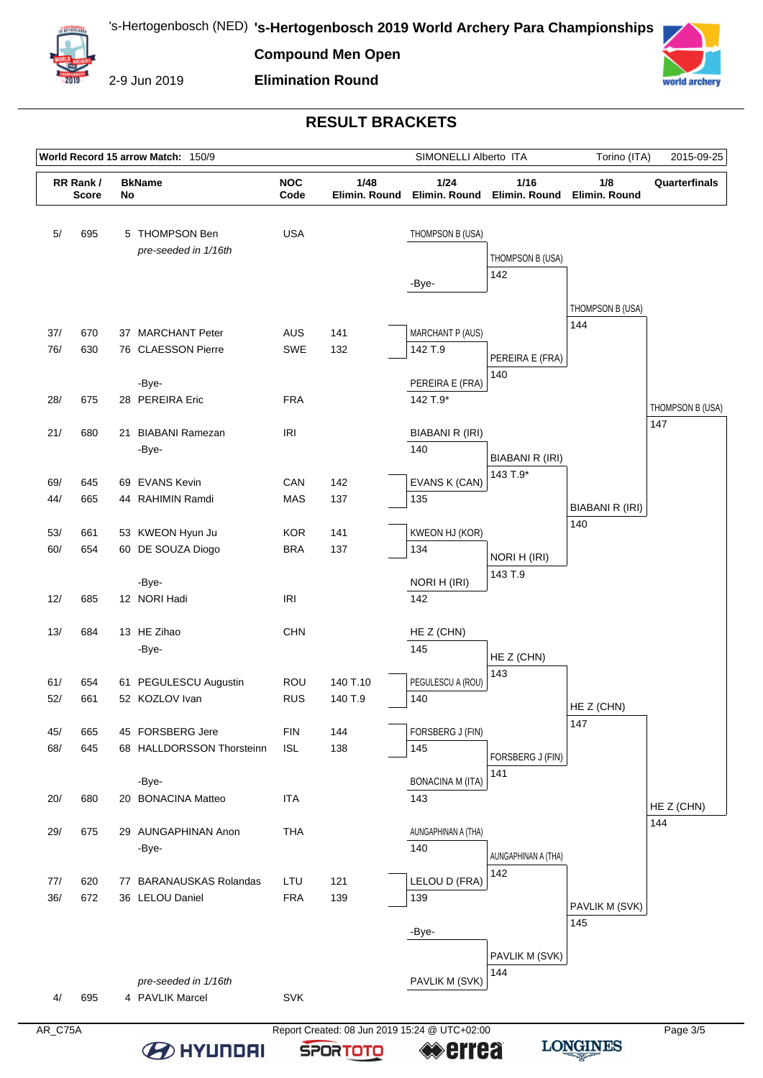

2-9 Jun 2019

#### **Elimination Round**



#### **RESULT BRACKETS**

|            | World Record 15 arrow Match: 150/9              |  |                                               |                                    |                     | SIMONELLI Alberto ITA              |                            | Torino (ITA)<br>2015-09-25 |                         |
|------------|-------------------------------------------------|--|-----------------------------------------------|------------------------------------|---------------------|------------------------------------|----------------------------|----------------------------|-------------------------|
|            | RR Rank/<br><b>BkName</b><br><b>Score</b><br>No |  | <b>NOC</b><br>1/48<br>Code                    |                                    | Elimin, Round       | 1/24<br>Elimin. Round              | 1/16<br>Elimin. Round      | 1/8<br>Elimin. Round       | Quarterfinals           |
| 5/         | 695                                             |  | 5 THOMPSON Ben<br>pre-seeded in 1/16th        | <b>USA</b>                         |                     | THOMPSON B (USA)<br>-Bye-          | THOMPSON B (USA)<br>142    |                            |                         |
| 37/<br>76/ | 670<br>630                                      |  | 37 MARCHANT Peter<br>76 CLAESSON Pierre       | <b>AUS</b><br>SWE                  | 141<br>132          | <b>MARCHANT P (AUS)</b><br>142 T.9 |                            | THOMPSON B (USA)<br>144    |                         |
| 28/        | 675                                             |  | -Bye-<br>28 PEREIRA Eric                      | <b>FRA</b>                         |                     | PEREIRA E (FRA)<br>142 T.9*        | PEREIRA E (FRA)<br>140     |                            |                         |
| 21/        | 680                                             |  | 21 BIABANI Ramezan<br>-Bye-                   | <b>IRI</b>                         |                     | <b>BIABANI R (IRI)</b><br>140      | BIABANI R (IRI)            |                            | THOMPSON B (USA)<br>147 |
| 69/<br>44/ | 645<br>665                                      |  | 69 EVANS Kevin<br>44 RAHIMIN Ramdi            | CAN<br><b>MAS</b>                  | 142<br>137          | EVANS K (CAN)<br>135               | 143 T.9*                   | BIABANI R (IRI)            |                         |
| 53/<br>60/ | 661<br>654                                      |  | 53 KWEON Hyun Ju<br>60 DE SOUZA Diogo         | <b>KOR</b><br><b>BRA</b>           | 141<br>137          | KWEON HJ (KOR)<br>134              | NORI H (IRI)               | 140                        |                         |
| 12/        | 685                                             |  | -Bye-<br>12 NORI Hadi                         | $\ensuremath{\mathsf{IRl}}\xspace$ |                     | NORI H (IRI)<br>142                | 143 T.9                    |                            |                         |
| 13/        | 684                                             |  | 13 HE Zihao<br>-Bye-                          | <b>CHN</b>                         |                     | HE Z (CHN)<br>145                  | HE Z (CHN)<br>143          |                            |                         |
| 61/<br>52/ | 654<br>661                                      |  | 61 PEGULESCU Augustin<br>52 KOZLOV Ivan       | <b>ROU</b><br><b>RUS</b>           | 140 T.10<br>140 T.9 | PEGULESCU A (ROU)<br>140           |                            | HE Z (CHN)<br>147          |                         |
| 45/<br>68/ | 665<br>645                                      |  | 45 FORSBERG Jere<br>68 HALLDORSSON Thorsteinn | <b>FIN</b><br><b>ISL</b>           | 144<br>138          | FORSBERG J (FIN)<br>145            | FORSBERG J (FIN)<br>141    |                            |                         |
| 20/        | 680                                             |  | -Bye-<br>20 BONACINA Matteo                   | <b>ITA</b>                         |                     | <b>BONACINA M (ITA)</b><br>143     |                            |                            | HE Z (CHN)<br>144       |
| 29/        | 675                                             |  | 29 AUNGAPHINAN Anon<br>-Bye-                  | <b>THA</b>                         |                     | AUNGAPHINAN A (THA)<br>140         | AUNGAPHINAN A (THA)<br>142 |                            |                         |
| 77/<br>36/ | 620<br>672                                      |  | 77 BARANAUSKAS Rolandas<br>36 LELOU Daniel    | LTU<br><b>FRA</b>                  | 121<br>139          | LELOU D (FRA)<br>139               |                            | PAVLIK M (SVK)<br>145      |                         |
| 4/         | 695                                             |  | pre-seeded in 1/16th<br>4 PAVLIK Marcel       | <b>SVK</b>                         |                     | -Bye-<br>PAVLIK M (SVK)            | PAVLIK M (SVK)<br>144      |                            |                         |

**B** HYUNDAI

AR\_C75A Report Created: 08 Jun 2019 15:24 @ UTC+02:00 **errea** 

**SPORTOTO**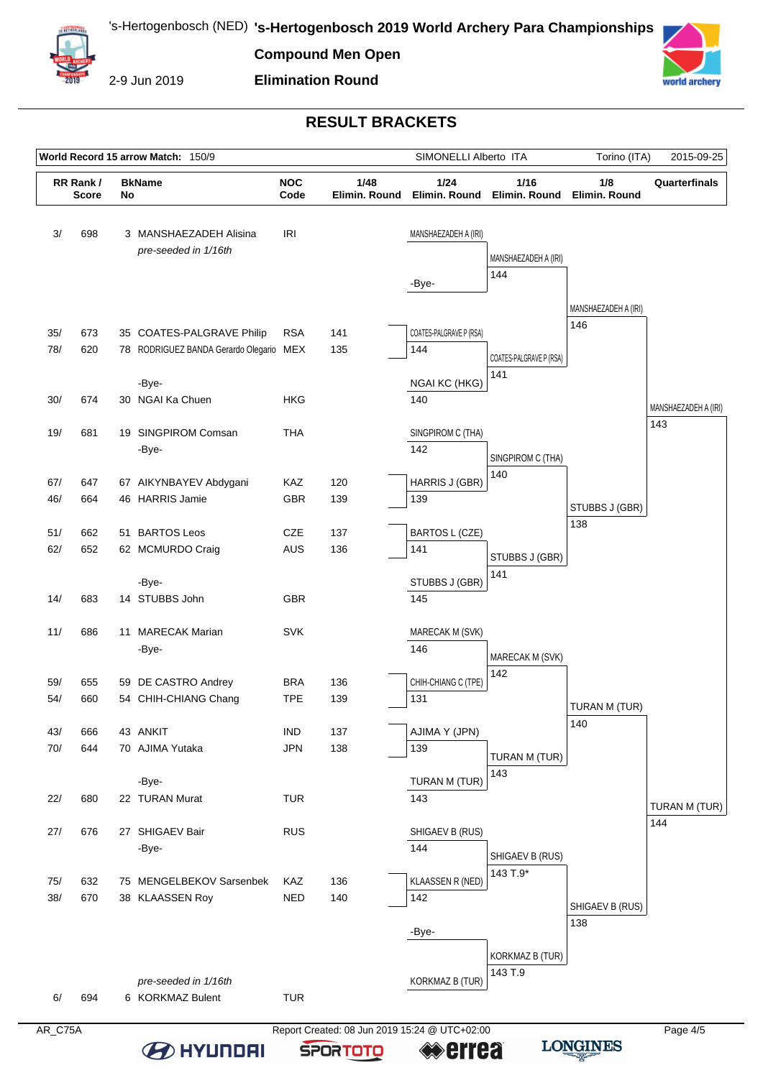

2-9 Jun 2019

# **Elimination Round**



## **RESULT BRACKETS**

|            | World Record 15 arrow Match: 150/9 |    | SIMONELLI Alberto ITA                                                         |                          | Torino (ITA)          | 2015-09-25                                      |                                |                             |                             |
|------------|------------------------------------|----|-------------------------------------------------------------------------------|--------------------------|-----------------------|-------------------------------------------------|--------------------------------|-----------------------------|-----------------------------|
|            | RR Rank/<br><b>Score</b>           | No | <b>BkName</b>                                                                 | <b>NOC</b><br>Code       | 1/48<br>Elimin, Round | 1/24<br>Elimin. Round                           | 1/16<br>Elimin. Round          | 1/8<br>Elimin, Round        | Quarterfinals               |
| 3/         | 698                                |    | 3 MANSHAEZADEH Alisina<br>pre-seeded in 1/16th                                | <b>IRI</b>               |                       | MANSHAEZADEH A (IRI)<br>-Bye-                   | MANSHAEZADEH A (IRI)<br>144    |                             |                             |
| 35/<br>78/ | 673<br>620                         |    | 35 COATES-PALGRAVE Philip<br>78 RODRIGUEZ BANDA Gerardo Olegario MEX<br>-Bye- | <b>RSA</b>               | 141<br>135            | COATES-PALGRAVE P (RSA)<br>144<br>NGAI KC (HKG) | COATES-PALGRAVE P (RSA)<br>141 | MANSHAEZADEH A (IRI)<br>146 |                             |
| 30/        | 674                                |    | 30 NGAI Ka Chuen                                                              | <b>HKG</b>               |                       | 140                                             |                                |                             | MANSHAEZADEH A (IRI)<br>143 |
| 19/        | 681                                |    | 19 SINGPIROM Comsan<br>-Bye-                                                  | <b>THA</b>               |                       | SINGPIROM C (THA)<br>142                        | SINGPIROM C (THA)<br>140       |                             |                             |
| 67/<br>46/ | 647<br>664                         |    | 67 AIKYNBAYEV Abdygani<br>46 HARRIS Jamie                                     | KAZ<br><b>GBR</b>        | 120<br>139            | HARRIS J (GBR)<br>139                           |                                | STUBBS J (GBR)              |                             |
| 51/<br>62/ | 662<br>652                         |    | 51 BARTOS Leos<br>62 MCMURDO Craig<br>-Bye-                                   | <b>CZE</b><br><b>AUS</b> | 137<br>136            | <b>BARTOS L (CZE)</b><br>141<br>STUBBS J (GBR)  | STUBBS J (GBR)<br>141          | 138                         |                             |
| 14/        | 683                                |    | 14 STUBBS John                                                                | <b>GBR</b><br><b>SVK</b> |                       | 145                                             |                                |                             |                             |
| 11/        | 686                                |    | 11 MARECAK Marian<br>-Bye-                                                    |                          |                       | MARECAK M (SVK)<br>146                          | MARECAK M (SVK)<br>142         |                             |                             |
| 59/<br>54/ | 655<br>660                         |    | 59 DE CASTRO Andrey<br>54 CHIH-CHIANG Chang                                   | <b>BRA</b><br><b>TPE</b> | 136<br>139            | CHIH-CHIANG C (TPE)<br>131                      |                                | TURAN M (TUR)               |                             |
| 43/<br>70/ | 666<br>644                         |    | 43 ANKIT<br>70 AJIMA Yutaka                                                   | <b>IND</b><br><b>JPN</b> | 137<br>138            | AJIMA Y (JPN)<br>139                            | TURAN M (TUR)<br>143           | 140                         |                             |
| 22/        | 680                                |    | -Bye-<br>22 TURAN Murat                                                       | <b>TUR</b>               |                       | TURAN M (TUR)<br>143                            |                                |                             | TURAN M (TUR)<br>144        |
| 27/        | 676                                |    | 27 SHIGAEV Bair<br>-Bye-                                                      | <b>RUS</b>               |                       | SHIGAEV B (RUS)<br>144                          | SHIGAEV B (RUS)                |                             |                             |
| 75/<br>38/ | 632<br>670                         |    | 75 MENGELBEKOV Sarsenbek<br>38 KLAASSEN Roy                                   | <b>KAZ</b><br><b>NED</b> | 136<br>140            | KLAASSEN R (NED)<br>142<br>-Bye-                | 143 T.9*                       | SHIGAEV B (RUS)<br>138      |                             |
| 6/         | 694                                |    | pre-seeded in 1/16th<br>6 KORKMAZ Bulent                                      | <b>TUR</b>               |                       | <b>KORKMAZ B (TUR)</b>                          | KORKMAZ B (TUR)<br>143 T.9     |                             |                             |

**SPORTOTO**